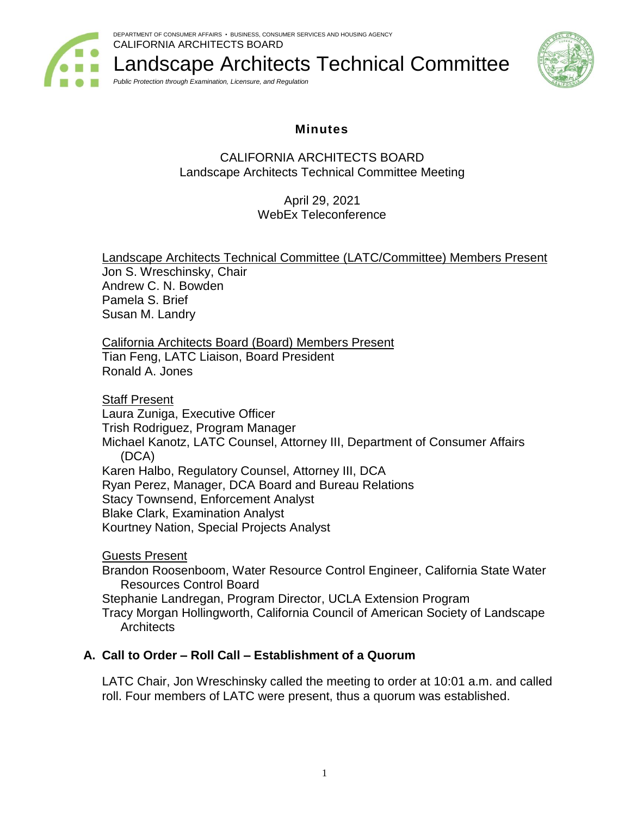

Landscape Architects Technical Committee *Public Protection through Examination, Licensure, and Regulation*



# **Minutes**

## CALIFORNIA ARCHITECTS BOARD Landscape Architects Technical Committee Meeting

April 29, 2021 WebEx Teleconference

Landscape Architects Technical Committee (LATC/Committee) Members Present Jon S. Wreschinsky, Chair Andrew C. N. Bowden Pamela S. Brief Susan M. Landry

California Architects Board (Board) Members Present Tian Feng, LATC Liaison, Board President Ronald A. Jones

Staff Present

Laura Zuniga, Executive Officer

Trish Rodriguez, Program Manager

Michael Kanotz, LATC Counsel, Attorney III, Department of Consumer Affairs (DCA)

Karen Halbo, Regulatory Counsel, Attorney III, DCA Ryan Perez, Manager, DCA Board and Bureau Relations Stacy Townsend, Enforcement Analyst Blake Clark, Examination Analyst

Kourtney Nation, Special Projects Analyst

Guests Present

Brandon Roosenboom, Water Resource Control Engineer, California State Water Resources Control Board

Stephanie Landregan, Program Director, UCLA Extension Program

Tracy Morgan Hollingworth, California Council of American Society of Landscape **Architects** 

# **A. Call to Order – Roll Call – Establishment of a Quorum**

LATC Chair, Jon Wreschinsky called the meeting to order at 10:01 a.m. and called roll. Four members of LATC were present, thus a quorum was established.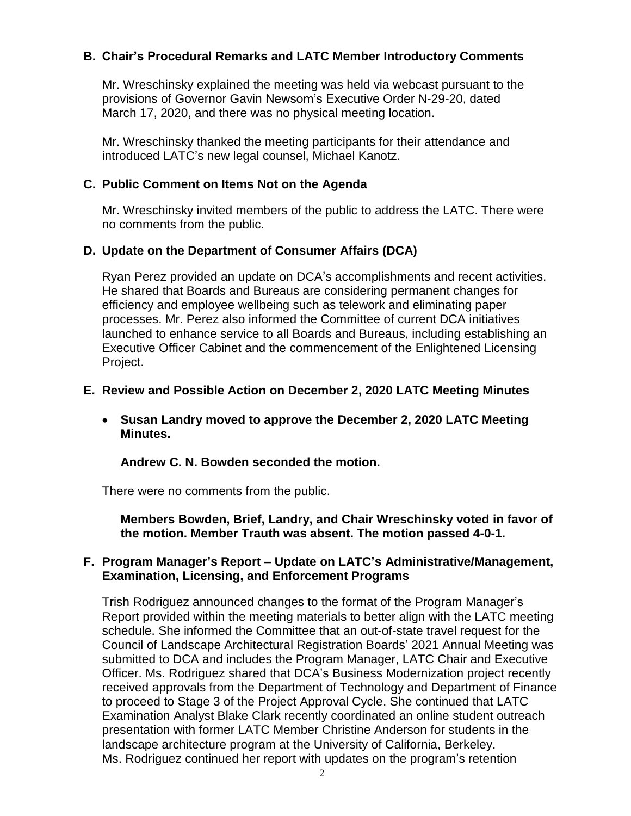## **B. Chair's Procedural Remarks and LATC Member Introductory Comments**

Mr. Wreschinsky explained the meeting was held via webcast pursuant to the provisions of Governor Gavin Newsom's Executive Order N-29-20, dated March 17, 2020, and there was no physical meeting location.

Mr. Wreschinsky thanked the meeting participants for their attendance and introduced LATC's new legal counsel, Michael Kanotz.

### **C. Public Comment on Items Not on the Agenda**

Mr. Wreschinsky invited members of the public to address the LATC. There were no comments from the public.

## **D. Update on the Department of Consumer Affairs (DCA)**

Ryan Perez provided an update on DCA's accomplishments and recent activities. He shared that Boards and Bureaus are considering permanent changes for efficiency and employee wellbeing such as telework and eliminating paper processes. Mr. Perez also informed the Committee of current DCA initiatives launched to enhance service to all Boards and Bureaus, including establishing an Executive Officer Cabinet and the commencement of the Enlightened Licensing Project.

## **E. Review and Possible Action on December 2, 2020 LATC Meeting Minutes**

• **Susan Landry moved to approve the December 2, 2020 LATC Meeting Minutes.**

### **Andrew C. N. Bowden seconded the motion.**

There were no comments from the public.

**Members Bowden, Brief, Landry, and Chair Wreschinsky voted in favor of the motion. Member Trauth was absent. The motion passed 4-0-1.**

### **F. Program Manager's Report – Update on LATC's Administrative/Management, Examination, Licensing, and Enforcement Programs**

Trish Rodriguez announced changes to the format of the Program Manager's Report provided within the meeting materials to better align with the LATC meeting schedule. She informed the Committee that an out-of-state travel request for the Council of Landscape Architectural Registration Boards' 2021 Annual Meeting was submitted to DCA and includes the Program Manager, LATC Chair and Executive Officer. Ms. Rodriguez shared that DCA's Business Modernization project recently received approvals from the Department of Technology and Department of Finance to proceed to Stage 3 of the Project Approval Cycle. She continued that LATC Examination Analyst Blake Clark recently coordinated an online student outreach presentation with former LATC Member Christine Anderson for students in the landscape architecture program at the University of California, Berkeley. Ms. Rodriguez continued her report with updates on the program's retention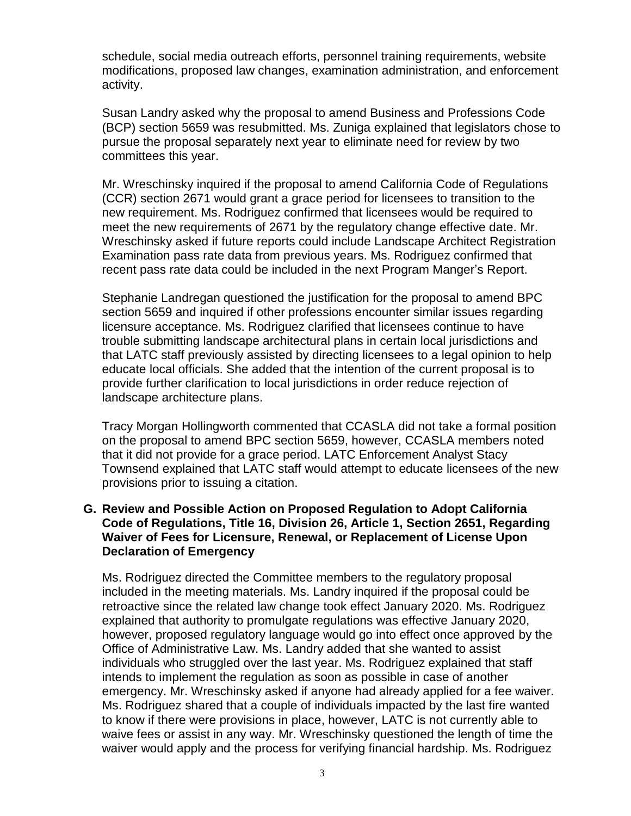schedule, social media outreach efforts, personnel training requirements, website modifications, proposed law changes, examination administration, and enforcement activity.

Susan Landry asked why the proposal to amend Business and Professions Code (BCP) section 5659 was resubmitted. Ms. Zuniga explained that legislators chose to pursue the proposal separately next year to eliminate need for review by two committees this year.

Mr. Wreschinsky inquired if the proposal to amend California Code of Regulations (CCR) section 2671 would grant a grace period for licensees to transition to the new requirement. Ms. Rodriguez confirmed that licensees would be required to meet the new requirements of 2671 by the regulatory change effective date. Mr. Wreschinsky asked if future reports could include Landscape Architect Registration Examination pass rate data from previous years. Ms. Rodriguez confirmed that recent pass rate data could be included in the next Program Manger's Report.

Stephanie Landregan questioned the justification for the proposal to amend BPC section 5659 and inquired if other professions encounter similar issues regarding licensure acceptance. Ms. Rodriguez clarified that licensees continue to have trouble submitting landscape architectural plans in certain local jurisdictions and that LATC staff previously assisted by directing licensees to a legal opinion to help educate local officials. She added that the intention of the current proposal is to provide further clarification to local jurisdictions in order reduce rejection of landscape architecture plans.

Tracy Morgan Hollingworth commented that CCASLA did not take a formal position on the proposal to amend BPC section 5659, however, CCASLA members noted that it did not provide for a grace period. LATC Enforcement Analyst Stacy Townsend explained that LATC staff would attempt to educate licensees of the new provisions prior to issuing a citation.

### **G. Review and Possible Action on Proposed Regulation to Adopt California Code of Regulations, Title 16, Division 26, Article 1, Section 2651, Regarding Waiver of Fees for Licensure, Renewal, or Replacement of License Upon Declaration of Emergency**

Ms. Rodriguez directed the Committee members to the regulatory proposal included in the meeting materials. Ms. Landry inquired if the proposal could be retroactive since the related law change took effect January 2020. Ms. Rodriguez explained that authority to promulgate regulations was effective January 2020, however, proposed regulatory language would go into effect once approved by the Office of Administrative Law. Ms. Landry added that she wanted to assist individuals who struggled over the last year. Ms. Rodriguez explained that staff intends to implement the regulation as soon as possible in case of another emergency. Mr. Wreschinsky asked if anyone had already applied for a fee waiver. Ms. Rodriguez shared that a couple of individuals impacted by the last fire wanted to know if there were provisions in place, however, LATC is not currently able to waive fees or assist in any way. Mr. Wreschinsky questioned the length of time the waiver would apply and the process for verifying financial hardship. Ms. Rodriguez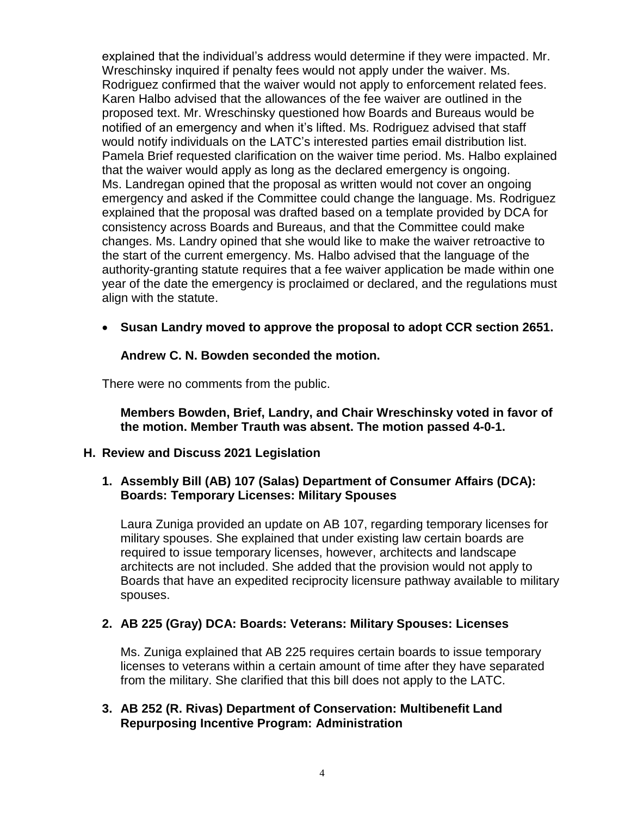explained that the individual's address would determine if they were impacted. Mr. Wreschinsky inquired if penalty fees would not apply under the waiver. Ms. Rodriguez confirmed that the waiver would not apply to enforcement related fees. Karen Halbo advised that the allowances of the fee waiver are outlined in the proposed text. Mr. Wreschinsky questioned how Boards and Bureaus would be notified of an emergency and when it's lifted. Ms. Rodriguez advised that staff would notify individuals on the LATC's interested parties email distribution list. Pamela Brief requested clarification on the waiver time period. Ms. Halbo explained that the waiver would apply as long as the declared emergency is ongoing. Ms. Landregan opined that the proposal as written would not cover an ongoing emergency and asked if the Committee could change the language. Ms. Rodriguez explained that the proposal was drafted based on a template provided by DCA for consistency across Boards and Bureaus, and that the Committee could make changes. Ms. Landry opined that she would like to make the waiver retroactive to the start of the current emergency. Ms. Halbo advised that the language of the authority-granting statute requires that a fee waiver application be made within one year of the date the emergency is proclaimed or declared, and the regulations must align with the statute.

• **Susan Landry moved to approve the proposal to adopt CCR section 2651.**

### **Andrew C. N. Bowden seconded the motion.**

There were no comments from the public.

**Members Bowden, Brief, Landry, and Chair Wreschinsky voted in favor of the motion. Member Trauth was absent. The motion passed 4-0-1.**

### **H. Review and Discuss 2021 Legislation**

## **1. Assembly Bill (AB) 107 (Salas) Department of Consumer Affairs (DCA): Boards: Temporary Licenses: Military Spouses**

Laura Zuniga provided an update on AB 107, regarding temporary licenses for military spouses. She explained that under existing law certain boards are required to issue temporary licenses, however, architects and landscape architects are not included. She added that the provision would not apply to Boards that have an expedited reciprocity licensure pathway available to military spouses.

## **2. AB 225 (Gray) DCA: Boards: Veterans: Military Spouses: Licenses**

Ms. Zuniga explained that AB 225 requires certain boards to issue temporary licenses to veterans within a certain amount of time after they have separated from the military. She clarified that this bill does not apply to the LATC.

### **3. AB 252 (R. Rivas) Department of Conservation: Multibenefit Land Repurposing Incentive Program: Administration**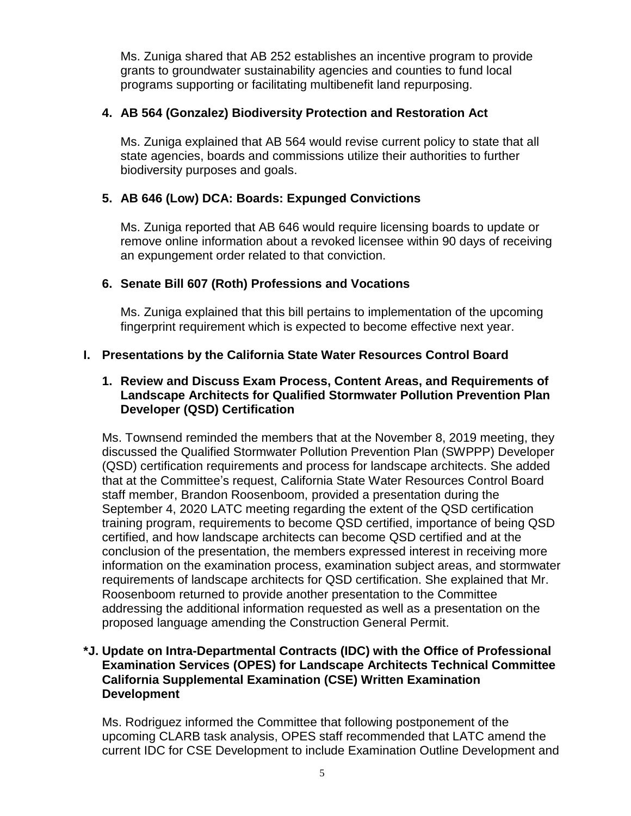Ms. Zuniga shared that AB 252 establishes an incentive program to provide grants to groundwater sustainability agencies and counties to fund local programs supporting or facilitating multibenefit land repurposing.

## **4. AB 564 (Gonzalez) Biodiversity Protection and Restoration Act**

Ms. Zuniga explained that AB 564 would revise current policy to state that all state agencies, boards and commissions utilize their authorities to further biodiversity purposes and goals.

## **5. AB 646 (Low) DCA: Boards: Expunged Convictions**

Ms. Zuniga reported that AB 646 would require licensing boards to update or remove online information about a revoked licensee within 90 days of receiving an expungement order related to that conviction.

## **6. Senate Bill 607 (Roth) Professions and Vocations**

Ms. Zuniga explained that this bill pertains to implementation of the upcoming fingerprint requirement which is expected to become effective next year.

## **I. Presentations by the California State Water Resources Control Board**

### **1. Review and Discuss Exam Process, Content Areas, and Requirements of Landscape Architects for Qualified Stormwater Pollution Prevention Plan Developer (QSD) Certification**

Ms. Townsend reminded the members that at the November 8, 2019 meeting, they discussed the Qualified Stormwater Pollution Prevention Plan (SWPPP) Developer (QSD) certification requirements and process for landscape architects. She added that at the Committee's request, California State Water Resources Control Board staff member, Brandon Roosenboom, provided a presentation during the September 4, 2020 LATC meeting regarding the extent of the QSD certification training program, requirements to become QSD certified, importance of being QSD certified, and how landscape architects can become QSD certified and at the conclusion of the presentation, the members expressed interest in receiving more information on the examination process, examination subject areas, and stormwater requirements of landscape architects for QSD certification. She explained that Mr. Roosenboom returned to provide another presentation to the Committee addressing the additional information requested as well as a presentation on the proposed language amending the Construction General Permit.

### **\*J. Update on Intra-Departmental Contracts (IDC) with the Office of Professional Examination Services (OPES) for Landscape Architects Technical Committee California Supplemental Examination (CSE) Written Examination Development**

Ms. Rodriguez informed the Committee that following postponement of the upcoming CLARB task analysis, OPES staff recommended that LATC amend the current IDC for CSE Development to include Examination Outline Development and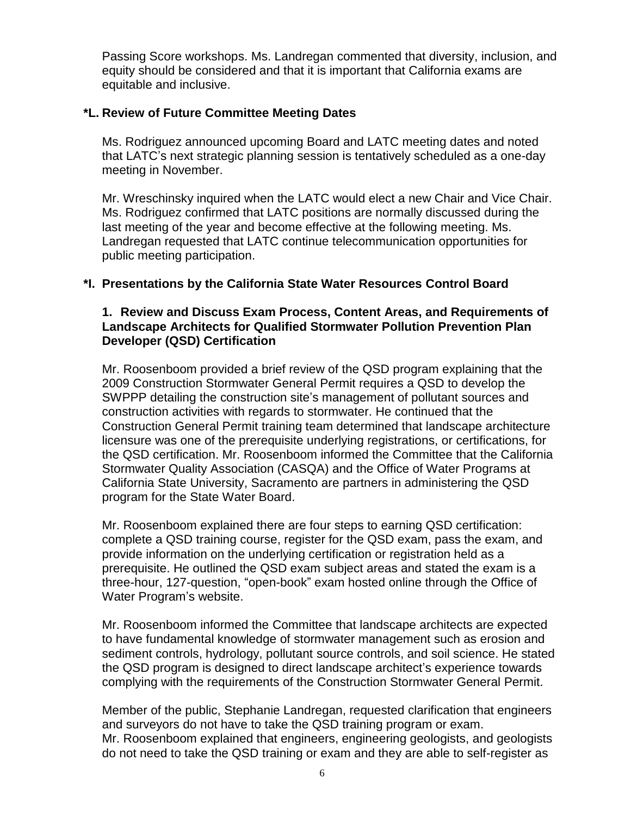Passing Score workshops. Ms. Landregan commented that diversity, inclusion, and equity should be considered and that it is important that California exams are equitable and inclusive.

## **\*L. Review of Future Committee Meeting Dates**

Ms. Rodriguez announced upcoming Board and LATC meeting dates and noted that LATC's next strategic planning session is tentatively scheduled as a one-day meeting in November.

Mr. Wreschinsky inquired when the LATC would elect a new Chair and Vice Chair. Ms. Rodriguez confirmed that LATC positions are normally discussed during the last meeting of the year and become effective at the following meeting. Ms. Landregan requested that LATC continue telecommunication opportunities for public meeting participation.

## **\*I. Presentations by the California State Water Resources Control Board**

### **1. Review and Discuss Exam Process, Content Areas, and Requirements of Landscape Architects for Qualified Stormwater Pollution Prevention Plan Developer (QSD) Certification**

Mr. Roosenboom provided a brief review of the QSD program explaining that the 2009 Construction Stormwater General Permit requires a QSD to develop the SWPPP detailing the construction site's management of pollutant sources and construction activities with regards to stormwater. He continued that the Construction General Permit training team determined that landscape architecture licensure was one of the prerequisite underlying registrations, or certifications, for the QSD certification. Mr. Roosenboom informed the Committee that the California Stormwater Quality Association (CASQA) and the Office of Water Programs at California State University, Sacramento are partners in administering the QSD program for the State Water Board.

Mr. Roosenboom explained there are four steps to earning QSD certification: complete a QSD training course, register for the QSD exam, pass the exam, and provide information on the underlying certification or registration held as a prerequisite. He outlined the QSD exam subject areas and stated the exam is a three-hour, 127-question, "open-book" exam hosted online through the Office of Water Program's website.

Mr. Roosenboom informed the Committee that landscape architects are expected to have fundamental knowledge of stormwater management such as erosion and sediment controls, hydrology, pollutant source controls, and soil science. He stated the QSD program is designed to direct landscape architect's experience towards complying with the requirements of the Construction Stormwater General Permit.

Member of the public, Stephanie Landregan, requested clarification that engineers and surveyors do not have to take the QSD training program or exam. Mr. Roosenboom explained that engineers, engineering geologists, and geologists do not need to take the QSD training or exam and they are able to self-register as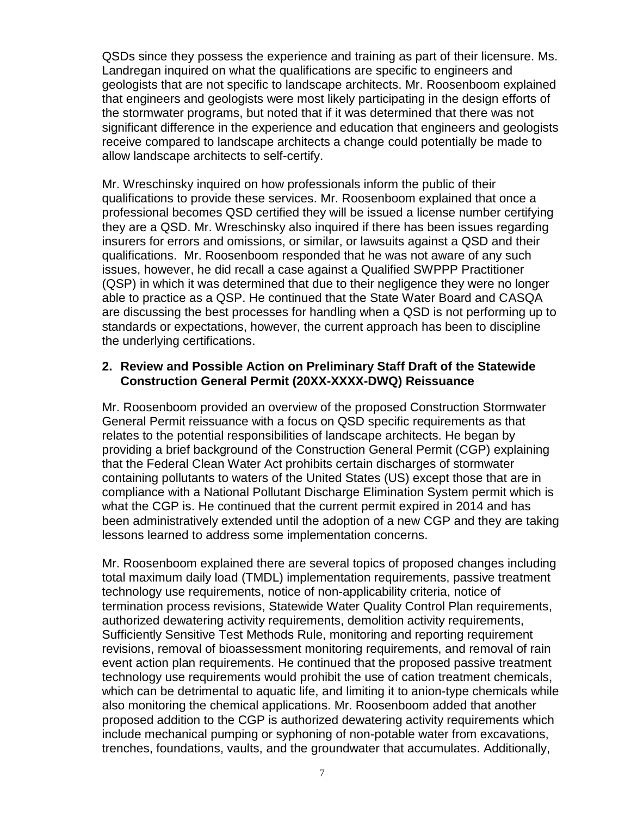QSDs since they possess the experience and training as part of their licensure. Ms. Landregan inquired on what the qualifications are specific to engineers and geologists that are not specific to landscape architects. Mr. Roosenboom explained that engineers and geologists were most likely participating in the design efforts of the stormwater programs, but noted that if it was determined that there was not significant difference in the experience and education that engineers and geologists receive compared to landscape architects a change could potentially be made to allow landscape architects to self-certify.

Mr. Wreschinsky inquired on how professionals inform the public of their qualifications to provide these services. Mr. Roosenboom explained that once a professional becomes QSD certified they will be issued a license number certifying they are a QSD. Mr. Wreschinsky also inquired if there has been issues regarding insurers for errors and omissions, or similar, or lawsuits against a QSD and their qualifications. Mr. Roosenboom responded that he was not aware of any such issues, however, he did recall a case against a Qualified SWPPP Practitioner (QSP) in which it was determined that due to their negligence they were no longer able to practice as a QSP. He continued that the State Water Board and CASQA are discussing the best processes for handling when a QSD is not performing up to standards or expectations, however, the current approach has been to discipline the underlying certifications.

### **2. Review and Possible Action on Preliminary Staff Draft of the Statewide Construction General Permit (20XX-XXXX-DWQ) Reissuance**

Mr. Roosenboom provided an overview of the proposed Construction Stormwater General Permit reissuance with a focus on QSD specific requirements as that relates to the potential responsibilities of landscape architects. He began by providing a brief background of the Construction General Permit (CGP) explaining that the Federal Clean Water Act prohibits certain discharges of stormwater containing pollutants to waters of the United States (US) except those that are in compliance with a National Pollutant Discharge Elimination System permit which is what the CGP is. He continued that the current permit expired in 2014 and has been administratively extended until the adoption of a new CGP and they are taking lessons learned to address some implementation concerns.

Mr. Roosenboom explained there are several topics of proposed changes including total maximum daily load (TMDL) implementation requirements, passive treatment technology use requirements, notice of non-applicability criteria, notice of termination process revisions, Statewide Water Quality Control Plan requirements, authorized dewatering activity requirements, demolition activity requirements, Sufficiently Sensitive Test Methods Rule, monitoring and reporting requirement revisions, removal of bioassessment monitoring requirements, and removal of rain event action plan requirements. He continued that the proposed passive treatment technology use requirements would prohibit the use of cation treatment chemicals, which can be detrimental to aquatic life, and limiting it to anion-type chemicals while also monitoring the chemical applications. Mr. Roosenboom added that another proposed addition to the CGP is authorized dewatering activity requirements which include mechanical pumping or syphoning of non-potable water from excavations, trenches, foundations, vaults, and the groundwater that accumulates. Additionally,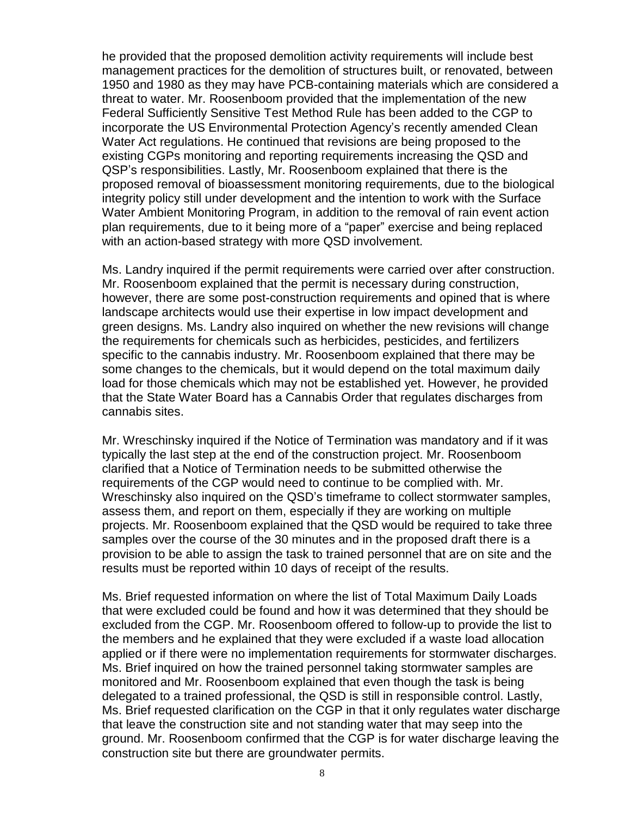he provided that the proposed demolition activity requirements will include best management practices for the demolition of structures built, or renovated, between 1950 and 1980 as they may have PCB-containing materials which are considered a threat to water. Mr. Roosenboom provided that the implementation of the new Federal Sufficiently Sensitive Test Method Rule has been added to the CGP to incorporate the US Environmental Protection Agency's recently amended Clean Water Act regulations. He continued that revisions are being proposed to the existing CGPs monitoring and reporting requirements increasing the QSD and QSP's responsibilities. Lastly, Mr. Roosenboom explained that there is the proposed removal of bioassessment monitoring requirements, due to the biological integrity policy still under development and the intention to work with the Surface Water Ambient Monitoring Program, in addition to the removal of rain event action plan requirements, due to it being more of a "paper" exercise and being replaced with an action-based strategy with more QSD involvement.

Ms. Landry inquired if the permit requirements were carried over after construction. Mr. Roosenboom explained that the permit is necessary during construction, however, there are some post-construction requirements and opined that is where landscape architects would use their expertise in low impact development and green designs. Ms. Landry also inquired on whether the new revisions will change the requirements for chemicals such as herbicides, pesticides, and fertilizers specific to the cannabis industry. Mr. Roosenboom explained that there may be some changes to the chemicals, but it would depend on the total maximum daily load for those chemicals which may not be established yet. However, he provided that the State Water Board has a Cannabis Order that regulates discharges from cannabis sites.

Mr. Wreschinsky inquired if the Notice of Termination was mandatory and if it was typically the last step at the end of the construction project. Mr. Roosenboom clarified that a Notice of Termination needs to be submitted otherwise the requirements of the CGP would need to continue to be complied with. Mr. Wreschinsky also inquired on the QSD's timeframe to collect stormwater samples, assess them, and report on them, especially if they are working on multiple projects. Mr. Roosenboom explained that the QSD would be required to take three samples over the course of the 30 minutes and in the proposed draft there is a provision to be able to assign the task to trained personnel that are on site and the results must be reported within 10 days of receipt of the results.

Ms. Brief requested information on where the list of Total Maximum Daily Loads that were excluded could be found and how it was determined that they should be excluded from the CGP. Mr. Roosenboom offered to follow-up to provide the list to the members and he explained that they were excluded if a waste load allocation applied or if there were no implementation requirements for stormwater discharges. Ms. Brief inquired on how the trained personnel taking stormwater samples are monitored and Mr. Roosenboom explained that even though the task is being delegated to a trained professional, the QSD is still in responsible control. Lastly, Ms. Brief requested clarification on the CGP in that it only regulates water discharge that leave the construction site and not standing water that may seep into the ground. Mr. Roosenboom confirmed that the CGP is for water discharge leaving the construction site but there are groundwater permits.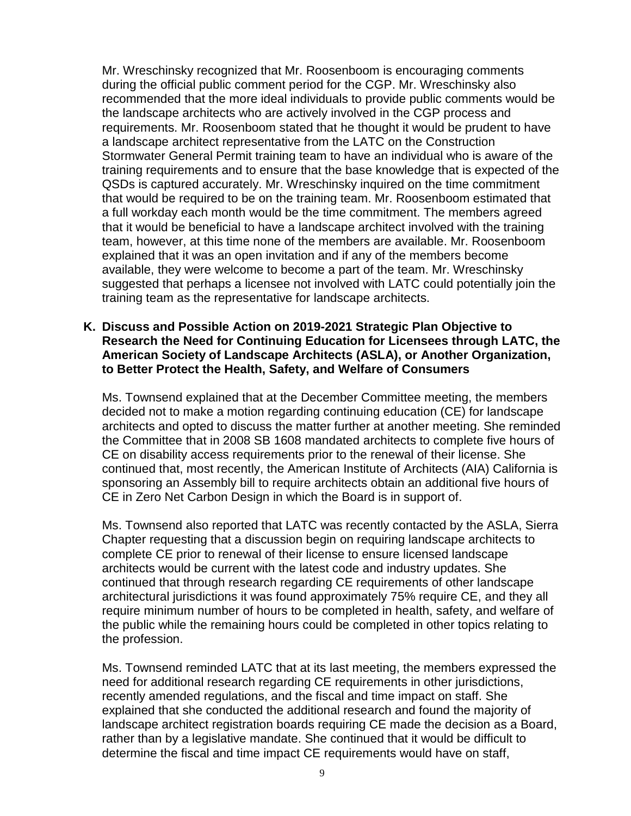Mr. Wreschinsky recognized that Mr. Roosenboom is encouraging comments during the official public comment period for the CGP. Mr. Wreschinsky also recommended that the more ideal individuals to provide public comments would be the landscape architects who are actively involved in the CGP process and requirements. Mr. Roosenboom stated that he thought it would be prudent to have a landscape architect representative from the LATC on the Construction Stormwater General Permit training team to have an individual who is aware of the training requirements and to ensure that the base knowledge that is expected of the QSDs is captured accurately. Mr. Wreschinsky inquired on the time commitment that would be required to be on the training team. Mr. Roosenboom estimated that a full workday each month would be the time commitment. The members agreed that it would be beneficial to have a landscape architect involved with the training team, however, at this time none of the members are available. Mr. Roosenboom explained that it was an open invitation and if any of the members become available, they were welcome to become a part of the team. Mr. Wreschinsky suggested that perhaps a licensee not involved with LATC could potentially join the training team as the representative for landscape architects.

### **K. Discuss and Possible Action on 2019-2021 Strategic Plan Objective to Research the Need for Continuing Education for Licensees through LATC, the American Society of Landscape Architects (ASLA), or Another Organization, to Better Protect the Health, Safety, and Welfare of Consumers**

Ms. Townsend explained that at the December Committee meeting, the members decided not to make a motion regarding continuing education (CE) for landscape architects and opted to discuss the matter further at another meeting. She reminded the Committee that in 2008 SB 1608 mandated architects to complete five hours of CE on disability access requirements prior to the renewal of their license. She continued that, most recently, the American Institute of Architects (AIA) California is sponsoring an Assembly bill to require architects obtain an additional five hours of CE in Zero Net Carbon Design in which the Board is in support of.

Ms. Townsend also reported that LATC was recently contacted by the ASLA, Sierra Chapter requesting that a discussion begin on requiring landscape architects to complete CE prior to renewal of their license to ensure licensed landscape architects would be current with the latest code and industry updates. She continued that through research regarding CE requirements of other landscape architectural jurisdictions it was found approximately 75% require CE, and they all require minimum number of hours to be completed in health, safety, and welfare of the public while the remaining hours could be completed in other topics relating to the profession.

Ms. Townsend reminded LATC that at its last meeting, the members expressed the need for additional research regarding CE requirements in other jurisdictions, recently amended regulations, and the fiscal and time impact on staff. She explained that she conducted the additional research and found the majority of landscape architect registration boards requiring CE made the decision as a Board, rather than by a legislative mandate. She continued that it would be difficult to determine the fiscal and time impact CE requirements would have on staff,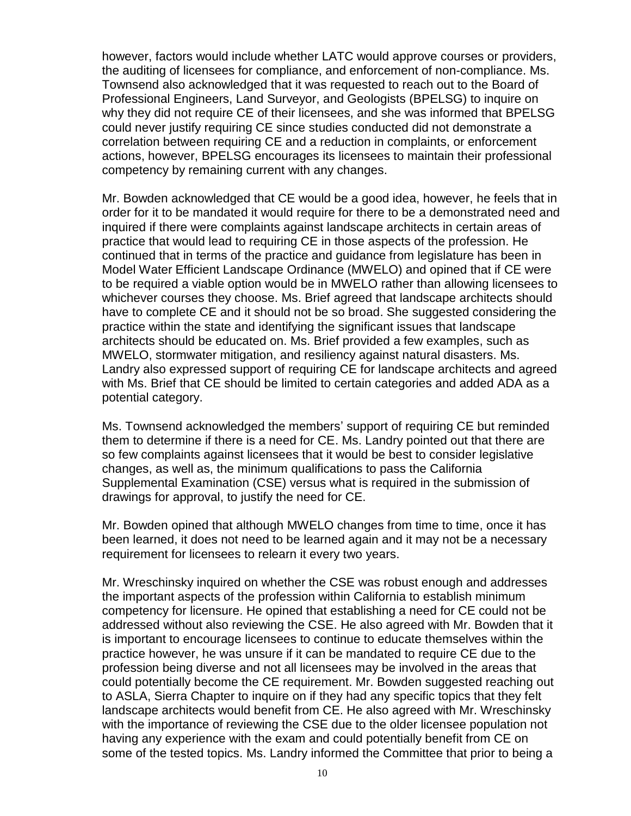however, factors would include whether LATC would approve courses or providers, the auditing of licensees for compliance, and enforcement of non-compliance. Ms. Townsend also acknowledged that it was requested to reach out to the Board of Professional Engineers, Land Surveyor, and Geologists (BPELSG) to inquire on why they did not require CE of their licensees, and she was informed that BPELSG could never justify requiring CE since studies conducted did not demonstrate a correlation between requiring CE and a reduction in complaints, or enforcement actions, however, BPELSG encourages its licensees to maintain their professional competency by remaining current with any changes.

Mr. Bowden acknowledged that CE would be a good idea, however, he feels that in order for it to be mandated it would require for there to be a demonstrated need and inquired if there were complaints against landscape architects in certain areas of practice that would lead to requiring CE in those aspects of the profession. He continued that in terms of the practice and guidance from legislature has been in Model Water Efficient Landscape Ordinance (MWELO) and opined that if CE were to be required a viable option would be in MWELO rather than allowing licensees to whichever courses they choose. Ms. Brief agreed that landscape architects should have to complete CE and it should not be so broad. She suggested considering the practice within the state and identifying the significant issues that landscape architects should be educated on. Ms. Brief provided a few examples, such as MWELO, stormwater mitigation, and resiliency against natural disasters. Ms. Landry also expressed support of requiring CE for landscape architects and agreed with Ms. Brief that CE should be limited to certain categories and added ADA as a potential category.

Ms. Townsend acknowledged the members' support of requiring CE but reminded them to determine if there is a need for CE. Ms. Landry pointed out that there are so few complaints against licensees that it would be best to consider legislative changes, as well as, the minimum qualifications to pass the California Supplemental Examination (CSE) versus what is required in the submission of drawings for approval, to justify the need for CE.

Mr. Bowden opined that although MWELO changes from time to time, once it has been learned, it does not need to be learned again and it may not be a necessary requirement for licensees to relearn it every two years.

Mr. Wreschinsky inquired on whether the CSE was robust enough and addresses the important aspects of the profession within California to establish minimum competency for licensure. He opined that establishing a need for CE could not be addressed without also reviewing the CSE. He also agreed with Mr. Bowden that it is important to encourage licensees to continue to educate themselves within the practice however, he was unsure if it can be mandated to require CE due to the profession being diverse and not all licensees may be involved in the areas that could potentially become the CE requirement. Mr. Bowden suggested reaching out to ASLA, Sierra Chapter to inquire on if they had any specific topics that they felt landscape architects would benefit from CE. He also agreed with Mr. Wreschinsky with the importance of reviewing the CSE due to the older licensee population not having any experience with the exam and could potentially benefit from CE on some of the tested topics. Ms. Landry informed the Committee that prior to being a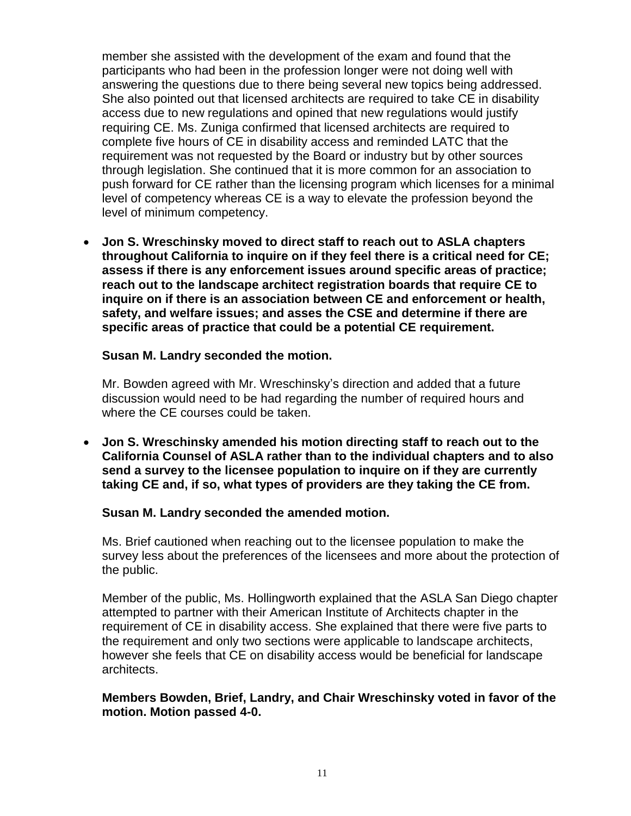member she assisted with the development of the exam and found that the participants who had been in the profession longer were not doing well with answering the questions due to there being several new topics being addressed. She also pointed out that licensed architects are required to take CE in disability access due to new regulations and opined that new regulations would justify requiring CE. Ms. Zuniga confirmed that licensed architects are required to complete five hours of CE in disability access and reminded LATC that the requirement was not requested by the Board or industry but by other sources through legislation. She continued that it is more common for an association to push forward for CE rather than the licensing program which licenses for a minimal level of competency whereas CE is a way to elevate the profession beyond the level of minimum competency.

• **Jon S. Wreschinsky moved to direct staff to reach out to ASLA chapters throughout California to inquire on if they feel there is a critical need for CE; assess if there is any enforcement issues around specific areas of practice; reach out to the landscape architect registration boards that require CE to inquire on if there is an association between CE and enforcement or health, safety, and welfare issues; and asses the CSE and determine if there are specific areas of practice that could be a potential CE requirement.**

### **Susan M. Landry seconded the motion.**

Mr. Bowden agreed with Mr. Wreschinsky's direction and added that a future discussion would need to be had regarding the number of required hours and where the CE courses could be taken.

• **Jon S. Wreschinsky amended his motion directing staff to reach out to the California Counsel of ASLA rather than to the individual chapters and to also send a survey to the licensee population to inquire on if they are currently taking CE and, if so, what types of providers are they taking the CE from.** 

#### **Susan M. Landry seconded the amended motion.**

Ms. Brief cautioned when reaching out to the licensee population to make the survey less about the preferences of the licensees and more about the protection of the public.

Member of the public, Ms. Hollingworth explained that the ASLA San Diego chapter attempted to partner with their American Institute of Architects chapter in the requirement of CE in disability access. She explained that there were five parts to the requirement and only two sections were applicable to landscape architects, however she feels that CE on disability access would be beneficial for landscape architects.

### **Members Bowden, Brief, Landry, and Chair Wreschinsky voted in favor of the motion. Motion passed 4-0.**